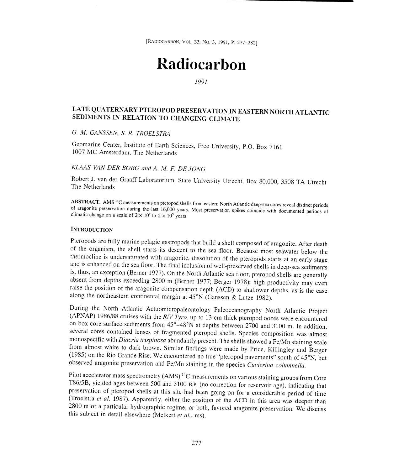[RADJOCARBON, VOL. 33, NO. 3, 1991, P. 277-282]

## Radiocarbon

1991

# LATE QUATERNARY PTEROPOD PRESERVATION IN EASTERN NORTH ATLANTIC SEDIMENTS IN RELATION TO CHANGING CLIMATE

#### G. M. GANSSEN, S. R. TROELSTRA

Geomarine Center, Institute of Earth Sciences, Free University, P.O. Box 7161 1007 MC Amsterdam, The Netherlands

## KLAAS VAN DER BORG and A. M. F. DE JONG

Robert J. van der Graaff Laboratorium, State University Utrecht, Box 80.000, 3508 TA Utrecht The Netherlands

**ABSTRACT.** AMS<sup>14</sup>C measurements on pteropod shells from eastern North Atlantic deep-sea cores reveal distinct periods of aragonite preservation during the last 16,000 years. Most preservation spikes coincide with docume

#### **INTRODUCTION**

Pteropods are fully marine pelagic gastropods that build a shell composed of aragonite. After death<br>of the organism, the shell starts its descent to the sea floor. Because most seawater below the<br>thermocline is undersatura absent from depths exceeding 2800 m (Berner 1977; Berger 1978); high productivity may even raise the position of the aragonite compensation depth (ACD) to shallower depths, as is the case along the northeastern continenta

During the North Atlantic Actuomicropaleontology Paleoceanography North Atlantic Project (APNAP) 1986/88 cruises with the  $R/V$  Tyro, up to 13-cm-thick pteropod oozes were encountered on box core surface sediments from  $45$ monospecific with *Diacria trispinosa* abundantly present. The shells showed a Fe/Mn staining scale from almost white to dark brown. Similar findings were made by Price, Killingley and Berger (1985) on the Rio Grande Rise. We encountered no true "pteropod pavements" south of 45°N, but observed aragonite preservation and Fe/Mn staining in the species Cuvierina columnella.

Pilot accelerator mass spectrometry (AMS)<sup>14</sup>C measurements on various staining groups from Core T86/SB, yielded ages between 500 and 3100 B.P. (no correction for reservoir age), indicating that preservation of pteropod shells at this site had been going on for a considerable period of time (Troelstra et al. 1987). Apparently, either the position of the ACD in this area was deeper than <sup>2800</sup>m or a particular hydrographic regime, or both, favored aragonite preservation. We discuss this subject in detail elsewhere (Melkert et al., ms).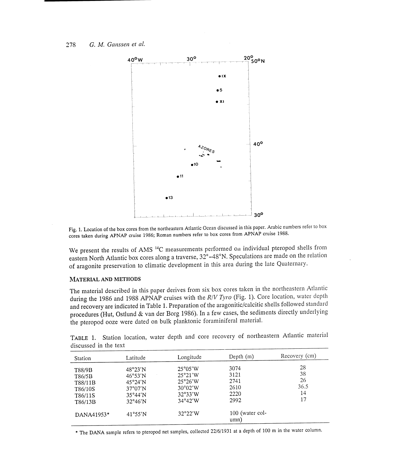

Fig, 1. Location of the box cores from the northeastern Atlantic Ocean discussed in this paper. Arabic numbers refer to box cores taken during APNAP cruise 1986; Roman numbers refer to box cores from APNAP cruise 1988.

We present the results of AMS<sup>14</sup>C measurements performed on individual pteropod shells from eastern North Atlantic box cores along a traverse, 32°-48°N. Speculations are made on the relation of aragonite preservation to climatic development in this area during the late Quaternary.

#### MATERIAL AND METHODS

The material described in this paper derives from six box cores taken in the northeastern Atlantic during the 1986 and 1988 APNAP cruises with the R/V Tyro (Fig. 1). Core location, water depth and recovery are indicated in Table 1. Preparation of the aragonitic/calcitic shells followed standard procedures (Hut, Ostlund & van der Borg 1986). In a few cases, the sediments directly underlying the pteropod ooze were dated on bulk planktonic foraminiferal material.

|                       |  |  |  |  |  | TABLE 1. Station location, water depth and core recovery of northeastern Atlantic material |
|-----------------------|--|--|--|--|--|--------------------------------------------------------------------------------------------|
| discussed in the text |  |  |  |  |  |                                                                                            |

| Station                                                      | Latitude                                                                                                         | Longitude                                                                                            | Depth $(m)$                                  | Recovery (cm)                      |
|--------------------------------------------------------------|------------------------------------------------------------------------------------------------------------------|------------------------------------------------------------------------------------------------------|----------------------------------------------|------------------------------------|
| T88/9B<br>T86/5B<br>T88/11B<br>T86/10S<br>T86/11S<br>T86/13B | 48°23'N<br>$46^{\circ}53'$ N<br>$45^{\circ}24'$ N<br>$37^{\circ}07'$ N<br>$35^{\circ}44'$ N<br>$32^{\circ}46'$ N | $25^{\circ}05'W$<br>25°21'W<br>$25^{\circ}26'$ W<br>$30^{\circ}02'$ W<br>32°33'W<br>$34^{\circ}42'W$ | 3074<br>3121<br>2741<br>2610<br>2220<br>2992 | 28<br>38<br>26<br>36.5<br>14<br>17 |
| DANA41953*                                                   | 41°55'N                                                                                                          | $32^{\circ}22'$ W                                                                                    | 100 (water col-<br>umn)                      |                                    |

\* The DANA sample refers to pteropod net samples, collected 221611931 at a depth of 100 m in the water column.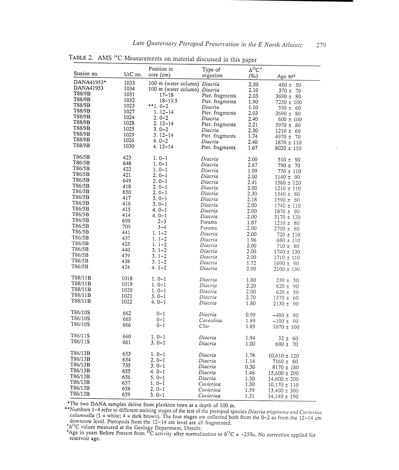| Station no.        | UtC no.    | Position in<br>core (cm)     | Type of<br>organism | $\Delta^{13}$ C <sup>+</sup><br>$(\%circ)$ | Age BP <sup>‡</sup>           |
|--------------------|------------|------------------------------|---------------------|--------------------------------------------|-------------------------------|
| DANA41953*         | 1033       | 100 m (water column) Diacria |                     | 2.50                                       | $480 \pm 50$                  |
| DANA41953          | 1034       | 100 m (water column) Diacria |                     | 2.10                                       | $370 \pm 70$                  |
| T88/9B             | 1031       | $17 - 18$                    | Pter. fragments     | 2.03                                       | $3690 \pm 80$                 |
| T88/9B             | 1032       | $18 - 19.5$                  | Pter. fragments     | 1.90                                       | $7230 \pm 100$                |
| T88/9B             | 1023       | **1.0-2                      | Diacria             | 1.10                                       | $550 \pm 60$                  |
| T88/9B             | 1027       | $1.12 - 14$                  | Pter. fragments     | 2.03                                       | $3690 \pm 80$                 |
| T88/9B             | 1024       | $2.0 - 2$                    | Diacria             | 2.40                                       | $600 \pm 100$                 |
| T88/9B             | 1028       | 2. 12–14                     | Pter. fragments     | 2.21                                       | $3970 \pm 80$                 |
| T88/9B             | 1025       | $3.0 - 2$                    | Diacria             | 2.30                                       | $1210 \pm 60$                 |
| T88/9B             | 1029       | $3.12 - 14$                  | Pter. fragments     | 1.74                                       | $4970 \pm 70$                 |
| T88/9B<br>T88/9B   | 1026       | $4.0 - 2$                    | Diacria             | 2.40                                       | $1870 \pm 110$                |
|                    | 1030       | $4.12 - 14$                  | Pter. fragments     | 1.67                                       | $8020 \pm 110$                |
| T86/5B             | 423        | $1.0-1$                      | Diacria             | 2.00                                       | $510 \pm 90$                  |
| T86/5B<br>T86/5B   | 648        | $1.0 - 1$                    | Diacria             | 2.67                                       | $790 \pm 70$                  |
| T86/5B             | 422        | $1.0 - 1$                    | Diacria             | 1.99                                       | $770 \pm 110$                 |
| T86/5B             | 421        | $2.0 - 1$                    | Diacria             | 2.00                                       | $1140 \pm 90$                 |
| T86/5B             | 649<br>418 | $2.0-1$                      | Diacria             | 2.41                                       | $1560 \pm 120$                |
| T86/5B             | 650        | $2.0 - 1$                    | Diacria             | 2.00                                       | $1210 \pm 110$                |
| T86/5B             | 417        | $2.0 - 1$                    | Diacria             | 2.30                                       | $1540 \pm 80$                 |
| T86/5B             | 416        | $3.0-1$<br>$3.0-1$           | Diacria             | 2.18                                       | $1590 \pm 80$                 |
| T86/5B             | 415        | $4.0 - 1$                    | Diacria             | 2.00                                       | $1740 \pm 110$                |
| T86/5B             | 414        | $4.0 - 1$                    | Diacria<br>Diacria  | 2.00                                       | $1870 \pm 90$                 |
| T86/5B             | 699        | $2 - 3$                      | Forams              | 2.00                                       | $3170 \pm 120$                |
| T86/5B             | 700        | $3 - 4$                      | Forams              | 1.87                                       | $1210 \pm 80$                 |
| T86/5B             | 441        | $1.1 - 2$                    | Diacria             | 2.00<br>2.00                               | $2700 \pm 80$                 |
| T86/5B             | 437        | $1.1 - 2$                    | Diacria             | 1.96                                       | $720 \pm 110$                 |
| T86/5B             | 425        | $1.1 - 2$                    | Diacria             | 2.00                                       | $680 \pm 110$<br>$710 \pm 80$ |
| T86/5B             | 440        | $3.1 - 2$                    | Diacria             | 2.00                                       | $1740 \pm 130$                |
| T86/5B             | 439        | $3.1 - 2$                    | Diacria             | 2.00                                       | $1710 \pm 110$                |
| T86/5B             | 438        | $3.1 - 2$                    | Diacria             | 1.72                                       | $1690 \pm 90$                 |
| T86/5B             | 424        | $4.1 - 2$                    | Diacria             | 2.00                                       | $2100 \pm 130$                |
| T88/11B            | 1018       | $1.0-1$                      | Diacria             | 1.80                                       | $230 \pm 50$                  |
| T88/11B            | 1019       | $1.0 - 1$                    | Diacria             | 2.20                                       | $620 \pm 90$                  |
| T88/11B            | 1020       | $1.0-1$                      | Diacria             | 2.00                                       | $620 \pm 50$                  |
| T88/11B            | 1021       | $3.0-1$                      | Diacria             | 2.70                                       | $1570 \pm 60$                 |
| T88/11B            | 1022       | 4.0-1                        | Diacria             | 1.80                                       | $2130 \pm 90$                 |
| T86/10S            | 662        | $0 - 1$                      | Diacria             | 0.99                                       | $-480 \pm 90$                 |
| T86/10S            | 665        | $0 - 1$                      | Caveolina           | 1.89                                       | $-190 \pm 90$                 |
| T86/10S            | 666        | $0 - 1$                      | Clio                | 1.85                                       | $1070 \pm 100$                |
| T86/11S            | 660        | $1.0-1$                      | Diacria             | 1.94                                       | $32 \pm 60$                   |
| T86/11S            | 661        | $3.0 - 1$                    | Diacria             | 1.00                                       | $690 \pm 70$                  |
| T86/13B            | 653        | $1.0-1$                      | Diacria             | 1.78                                       | $10,610 \pm 120$              |
| T86/13B            | 654        | $2.0 - 1$                    | Diacria             | 1.14                                       | $7160 \pm 80$                 |
| T86/13B            | 735        | $3.0 - 1$                    | Diacria             | 0.30                                       | $8170 \pm 180$                |
| T86/13B            | 655        | 4.0–1                        | Diacria             | 1.46                                       | $15,600 \pm 200$              |
| T86/13B            | 656        | $5.0 - 1$                    | Diacria             | 1.30                                       | $14,600 \pm 200$              |
| T86/13B<br>T86/13B | 657        | $1.0-1$                      | Cuvierina           | 1.30                                       | $10,170 \pm 110$              |
|                    | 658        | 2.0-1                        | Cuvierina           | 1.59                                       | $13,400 \pm 300$              |
| T86/13B            | 659        | 3.0-1                        | Cuvierina           | 1.31                                       | $14,140 \pm 190$              |

TABLE 2. AMS 14C Measurements on material discussed in this paper

\*The two DANA samples derive from plankton tows at a depth of 100 m.<br>\*\*Numbers 1-4 refer to different staining stages of the test of the pteropod species *Diacria trispinosa* and *Cuvierina*<br>*columnella* (1 = white; 4 = d

 ${}^{14}C$  values measured at the Geology Department, Utrecht.

<sup>‡</sup>Age in years Before Present from <sup>11</sup>C activity after normalization to  $\delta^{13}C = -25\%$ . No correction applied for reservoir age.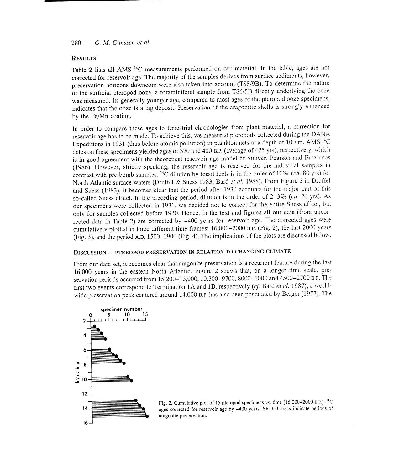#### 280 G. M. Ganssen et al.

#### **RESULTS**

Table 2 lists all AMS<sup>14</sup>C measurements performed on our material. In the table, ages are not corrected for reservoir age. The majority of the samples derives from surface sediments, however, preservation horizons downcore were also taken into account (T88/9B). To determine the nature<br>of the surficial pteropod ooze, a foraminiferal sample from T86/5B directly underlying the ooze was measured. Its generally younger age, compared to most ages of the pteropod ooze specimens, indicates that the ooze is a lag deposit. Preservation of the aragonitic shells is strongly enhanced by the Fe/Mn coating.

In order to compare these ages to terrestrial chronologies from plant material, a correction for reservoir age has to be made. To achieve this, we measured pteropods collected during the DANA Expeditions in 1931 (thus before atomic pollution) in plankton nets at a depth of 100 m. AMS  $^{14}C$ dates on these specimens yielded ages of 370 and 480 B.P. (average of 425 yrs), respectively, which is in good agreement with the theoretical reservoir age model of Stuiver, Pearson and Braziunas (1986). However, strictly speaking, the reservoir age is reserved for pre-industrial samples in contrast with pre-bomb samples. <sup>14</sup>C dilution by fossil fuels is in the order of 10% (ca. 80 yrs) for North Atlantic surface waters (Druffel & Suess 1983; Bard et al. 1988). From Figure 3 in Druffel and Suess (1983), it becomes clear that the period after 1930 accounts for the major part of this so-called Suess effect. In the preceding period, dilution is in the order of  $2-3\%$  (ca. 20 yrs). As our specimens were collected in 1931, we decided not to correct for the entire Suess effect, but only for samples collected before 1930. Hence, in the text and figures all our data (from uncorrected data in Table 2) are corrected by -400 years for reservoir age. The corrected ages were cumulatively plotted in three different time frames: 16,000-2000 B.P. (Fig. 2), the last 2000 years (Fig. 3), and the period AD. 1500-1900 (Fig. 4). The implications of the plots are discussed below.

### DISCUSSION - PTEROPOD PRESERVATION IN RELATION TO CHANGING CLIMATE

From our data set, it becomes clear that aragonite preservation is a recurrent feature during the last 16,000 years in the eastern North Atlantic. Figure 2 shows that, on a longer time scale, preservation periods occurred from 15,200-13,000,10,300-9700, 8000-6000 and 4500-2700 B.P. The first two events correspond to Termination 1A and 1B, respectively (cf. Bard et al. 1987); a worldwide preservation peak centered around 14,000 B.P. has also been postulated by Berger (1977). The



Fig. 2. Cumulative plot of 15 pteropod specimens vs. time (16,000-2000 B.P.). <sup>14</sup>C ages corrected for reservoir age by -400 years. Shaded areas indicate periods of aragonite preservation.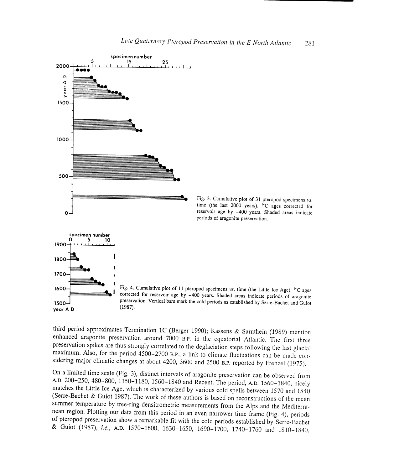

 $1500$ year A D

Fig. 3. Cumulative plot of 31 pteropod specimens  $vs.$  time (the last 2000 years). <sup>14</sup>C ages corrected for reservoir age by -400 years. Shaded areas indicate periods of aragonite preservation.



third period approximates Termination 1C (Berger 1990); Kassens & Sarnthein (1989) mention<br>enhanced aragonite preservation around 7000 B.P. in the equatorial Atlantic. The first three<br>preservation spikes are thus strongly

On a limited time scale (Fig. 3), distinct intervals of aragonite preservation can be observed from A.D. 200–250, 480–800, 1150–1180, 1560–1840 and Recent. The period, A.D. 1560–1840, nicely matches the Little Ice Age, which is characterized by various cold spells between 1570 and 1840 (Serre-Bachet & Guiot 1987). The work of these authors is based on reconstructions of the mean summer temperature by tree-ring densitrometric measurements from the Alps and the Mediterra-<br>nean region. Plotting our data from this period in an even narrower time frame (Fig. 4), periods of pteropod preservation show a remarkable fit with the cold periods established by Serre-Bachet & Guiot (1987), i.e., A.D. 1570-1600, 1630-1650, 1690-1700, 1740-1760 and 1810-1840,